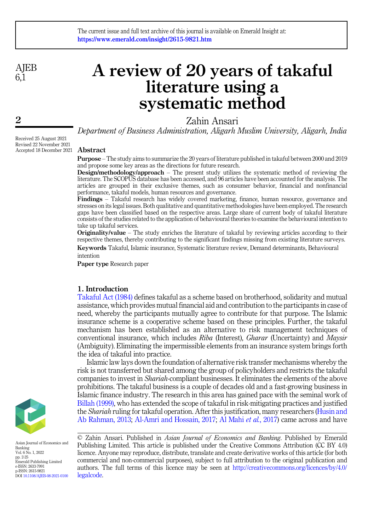**AIEB**  $6\overline{1}$ 

2

# A review of 20 years of takaful literature using a systematic method

Zahin Ansari

Department of Business Administration, Aligarh Muslim University, Aligarh, India

Received 25 August 2021 Revised 22 November 2021 Accepted 18 December 2021

### Abstract

Purpose – The study aims to summarize the 20 years of literature published in takaful between 2000 and 2019 and propose some key areas as the directions for future research.

Design/methodology/approach – The present study utilizes the systematic method of reviewing the literature. The SCOPUS database has been accessed, and 96 articles have been accounted for the analysis. The articles are grouped in their exclusive themes, such as consumer behavior, financial and nonfinancial performance, takaful models, human resources and governance.

Findings – Takaful research has widely covered marketing, finance, human resource, governance and stresses on its legal issues. Both qualitative and quantitative methodologies have been employed. The research gaps have been classified based on the respective areas. Large share of current body of takaful literature consists of the studies related to the application of behavioural theories to examine the behavioural intention to take up takaful services.

Originality/value – The study enriches the literature of takaful by reviewing articles according to their respective themes, thereby contributing to the significant findings missing from existing literature surveys.

Keywords Takaful, Islamic insurance, Systematic literature review, Demand determinants, Behavioural intention

Paper type Research paper

## 1. Introduction

[Takaful Act \(1984\)](#page-22-0) defines takaful as a scheme based on brotherhood, solidarity and mutual assistance, which provides mutual financial aid and contribution to the participants in case of need, whereby the participants mutually agree to contribute for that purpose. The Islamic insurance scheme is a cooperative scheme based on these principles. Further, the takaful mechanism has been established as an alternative to risk management techniques of conventional insurance, which includes *Riba* (Interest), *Gharar* (Uncertainty) and *Maysir* (Ambiguity). Eliminating the impermissible elements from an insurance system brings forth the idea of takaful into practice.

Islamic law lays down the foundation of alternative risk transfer mechanisms whereby the risk is not transferred but shared among the group of policyholders and restricts the takaful companies to invest in Shariah-compliant businesses. It eliminates the elements of the above prohibitions. The takaful business is a couple of decades old and a fast-growing business in Islamic finance industry. The research in this area has gained pace with the seminal work of [Billah \(1999\),](#page-18-0) who has extended the scope of takaful in risk-mitigating practices and justified the Shariah ruling for takaful operation. After this justification, many researchers ([Husin and](#page-19-0) [Ab Rahman, 2013;](#page-19-0) [Al-Amri and Hossain, 2017;](#page-17-0) [Al Mahi](#page-17-1) et al., 2017) came across and have





Asian Journal of Economics and Banking Vol. 6 No. 1, 2022 pp. 2-25 Emerald Publishing Limited e-ISSN: 2633-7991 p-ISSN: 2615-9821 DOI [10.1108/AJEB-08-2021-0100](https://doi.org/10.1108/AJEB-08-2021-0100)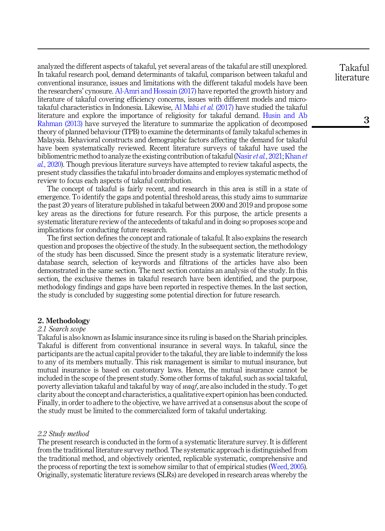analyzed the different aspects of takaful, yet several areas of the takaful are still unexplored. In takaful research pool, demand determinants of takaful, comparison between takaful and conventional insurance, issues and limitations with the different takaful models have been the researchers' cynosure. [Al-Amri and Hossain \(2017\)](#page-17-0) have reported the growth history and literature of takaful covering efficiency concerns, issues with different models and microtakaful characteristics in Indonesia. Likewise, [Al Mahi](#page-17-1) et al. (2017) have studied the takaful literature and explore the importance of religiosity for takaful demand. [Husin and Ab](#page-19-0) [Rahman \(2013\)](#page-19-0) have surveyed the literature to summarize the application of decomposed theory of planned behaviour (TPB) to examine the determinants of family takaful schemes in Malaysia. Behavioral constructs and demographic factors affecting the demand for takaful have been systematically reviewed. Recent literature surveys of takaful have used the bibliomentric method to analyze the existing contribution of takaful (Nasir et al.[, 2021](#page-21-0); [Khan](#page-20-0) et al.[, 2020](#page-20-0)). Though previous literature surveys have attempted to review takaful aspects, the present study classifies the takaful into broader domains and employes systematic method of review to focus each aspects of takaful contribution.

The concept of takaful is fairly recent, and research in this area is still in a state of emergence. To identify the gaps and potential threshold areas, this study aims to summarize the past 20 years of literature published in takaful between 2000 and 2019 and propose some key areas as the directions for future research. For this purpose, the article presents a systematic literature review of the antecedents of takaful and in doing so proposes scope and implications for conducting future research.

The first section defines the concept and rationale of takaful. It also explains the research question and proposes the objective of the study. In the subsequent section, the methodology of the study has been discussed. Since the present study is a systematic literature review, database search, selection of keywords and filtrations of the articles have also been demonstrated in the same section. The next section contains an analysis of the study. In this section, the exclusive themes in takaful research have been identified, and the purpose, methodology findings and gaps have been reported in respective themes. In the last section, the study is concluded by suggesting some potential direction for future research.

#### 2. Methodology

#### 2.1 Search scope

Takaful is also known as Islamic insurance since its ruling is based on the Shariah principles. Takaful is different from conventional insurance in several ways. In takaful, since the participants are the actual capital provider to the takaful, they are liable to indemnify the loss to any of its members mutually. This risk management is similar to mutual insurance, but mutual insurance is based on customary laws. Hence, the mutual insurance cannot be included in the scope of the present study. Some other forms of takaful, such as social takaful, poverty alleviation takaful and takaful by way of waqf, are also included in the study. To get clarity about the concept and characteristics, a qualitative expert opinion has been conducted. Finally, in order to adhere to the objective, we have arrived at a consensus about the scope of the study must be limited to the commercialized form of takaful undertaking.

### 2.2 Study method

The present research is conducted in the form of a systematic literature survey. It is different from the traditional literature survey method. The systematic approach is distinguished from the traditional method, and objectively oriented, replicable systematic, comprehensive and the process of reporting the text is somehow similar to that of empirical studies ([Weed, 2005\)](#page-22-1). Originally, systematic literature reviews (SLRs) are developed in research areas whereby the

Takaful literature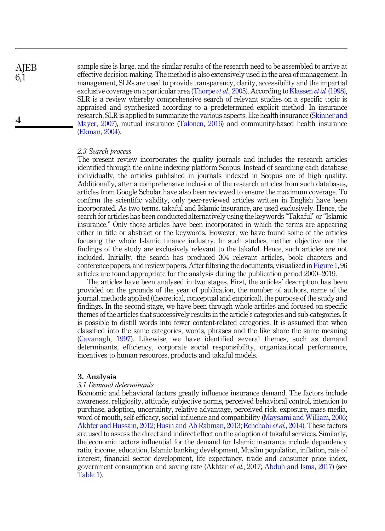**AIEB** 6,1

4

sample size is large, and the similar results of the research need to be assembled to arrive at effective decision-making. The method is also extensively used in the area of management. In management, SLRs are used to provide transparency, clarity, accessibility and the impartial exclusive coverage on a particular area ([Thorpe](#page-22-2) *et al.*, 2005). According to [Klassen](#page-20-1) *et al.* (1998), SLR is a review whereby comprehensive search of relevant studies on a specific topic is appraised and synthesized according to a predetermined explicit method. In insurance research, SLR is applied to summarize the various aspects, like health insurance ([Skinner and](#page-21-1) [Mayer, 2007](#page-21-1)), mutual insurance ([Talonen, 2016](#page-22-3)) and community-based health insurance ([Ekman, 2004](#page-18-1)).

#### 2.3 Search process

The present review incorporates the quality journals and includes the research articles identified through the online indexing platform Scopus. Instead of searching each database individually, the articles published in journals indexed in Scopus are of high quality. Additionally, after a comprehensive inclusion of the research articles from such databases, articles from Google Scholar have also been reviewed to ensure the maximum coverage. To confirm the scientific validity, only peer-reviewed articles written in English have been incorporated. As two terms, takaful and Islamic insurance, are used exclusively. Hence, the search for articles has been conducted alternatively using the keywords "Takaful" or "Islamic insurance." Only those articles have been incorporated in which the terms are appearing either in title or abstract or the keywords. However, we have found some of the articles focusing the whole Islamic finance industry. In such studies, neither objective nor the findings of the study are exclusively relevant to the takaful. Hence, such articles are not included. Initially, the search has produced 304 relevant articles, book chapters and conference papers, and review papers. After filtering the documents, visualized in [Figure 1,](#page-3-0) 96 articles are found appropriate for the analysis during the publication period 2000–2019.

The articles have been analysed in two stages. First, the articles' description has been provided on the grounds of the year of publication, the number of authors, name of the journal, methods applied (theoretical, conceptual and empirical), the purpose of the study and findings. In the second stage, we have been through whole articles and focused on specific themes of the articles that successively results in the article's categories and sub-categories. It is possible to distill words into fewer content-related categories. It is assumed that when classified into the same categories, words, phrases and the like share the same meaning ([Cavanagh, 1997\)](#page-18-2). Likewise, we have identified several themes, such as demand determinants, efficiency, corporate social responsibility, organizational performance, incentives to human resources, products and takaful models.

#### 3. Analysis

#### 3.1 Demand determinants

Economic and behavioral factors greatly influence insurance demand. The factors include awareness, religiosity, attitude, subjective norms, perceived behavioral control, intention to purchase, adoption, uncertainty, relative advantage, perceived risk, exposure, mass media, word of mouth, self-efficacy, social influence and compatibility [\(Maysami and William, 2006](#page-20-2); [Akhter and Hussain, 2012;](#page-17-2) [Husin and Ab Rahman, 2013](#page-19-0); [Echchabi](#page-18-3) et al., 2014). These factors are used to assess the direct and indirect effect on the adoption of takaful services. Similarly, the economic factors influential for the demand for Islamic insurance include dependency ratio, income, education, Islamic banking development, Muslim population, inflation, rate of interest, financial sector development, life expectancy, trade and consumer price index, government consumption and saving rate (Akhtar et al., 2017; [Abduh and Isma, 2017\)](#page-16-0) (see [Table 1](#page-4-0)).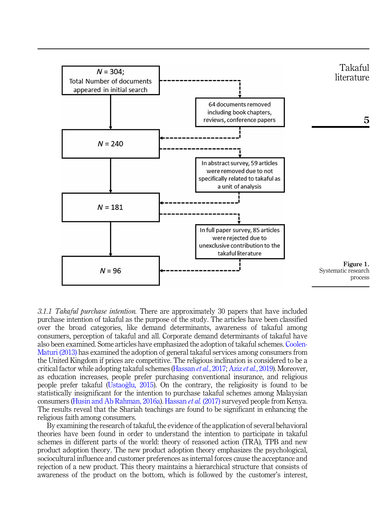<span id="page-3-0"></span>

3.1.1 Takaful purchase intention. There are approximately 30 papers that have included purchase intention of takaful as the purpose of the study. The articles have been classified over the broad categories, like demand determinants, awareness of takaful among consumers, perception of takaful and all. Corporate demand determinants of takaful have also been examined. Some articles have emphasized the adoption of takaful schemes. [Coolen-](#page-18-4)[Maturi \(2013\)](#page-18-4) has examined the adoption of general takaful services among consumers from the United Kingdom if prices are competitive. The religious inclination is considered to be a critical factor while adopting takaful schemes ([Hassan](#page-19-1) et al., 2017; Aziz et al.[, 2019\)](#page-17-3). Moreover, as education increases, people prefer purchasing conventional insurance, and religious people prefer takaful [\(Ustaoglu, 2015](#page-22-4)). On the contrary, the religiosity is found to be statistically insignificant for the intention to purchase takaful schemes among Malaysian consumers [\(Husin and Ab Rahman, 2016a](#page-19-2)). [Hassan](#page-19-1) et al. (2017) surveyed people from Kenya. The results reveal that the Shariah teachings are found to be significant in enhancing the religious faith among consumers.

By examining the research of takaful, the evidence of the application of several behavioral theories have been found in order to understand the intention to participate in takaful schemes in different parts of the world: theory of reasoned action (TRA), TPB and new product adoption theory. The new product adoption theory emphasizes the psychological, sociocultural influence and customer preferences as internal forces cause the acceptance and rejection of a new product. This theory maintains a hierarchical structure that consists of awareness of the product on the bottom, which is followed by the customer's interest,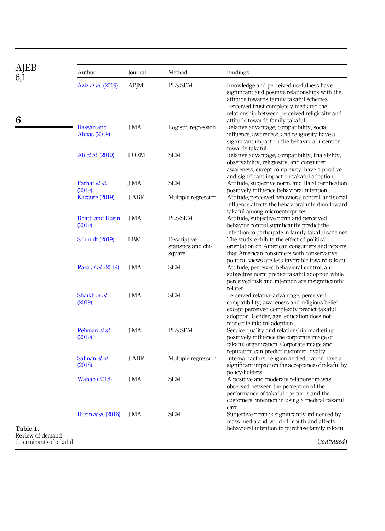<span id="page-4-0"></span>

| AJEB                         | Author                            | Journal      | Method                                       | Findings                                                                                                                                                                                                                            |
|------------------------------|-----------------------------------|--------------|----------------------------------------------|-------------------------------------------------------------------------------------------------------------------------------------------------------------------------------------------------------------------------------------|
|                              | Aziz et al. (2019)                | <b>APJML</b> | PLS-SEM                                      | Knowledge and perceived usefulness have<br>significant and positive relationships with the<br>attitude towards family takaful schemes.<br>Perceived trust completely mediated the<br>relationship between perceived religiosity and |
| 6                            | Hassan and<br>Abbas (2019)        | JIMA         | Logistic regression                          | attitude towards family takaful<br>Relative advantage, compatibility, social<br>influence, awareness, and religiosity have a<br>significant impact on the behavioral intention<br>towards takaful                                   |
|                              | Ali <i>et al.</i> (2019)          | <b>IJOEM</b> | <b>SEM</b>                                   | Relative advantage, compatibility, trialability,<br>observability, religiosity, and consumer<br>awareness, except complexity, have a positive<br>and significant impact on takaful adoption                                         |
|                              | Farhat et al.<br>(2019)           | JIMA         | <b>SEM</b>                                   | Attitude, subjective norm, and Halal certification<br>positively influence behavioral intention                                                                                                                                     |
|                              | Kazaure (2019)                    | JIABR        | Multiple regression                          | Attitude, perceived behavioral control, and social<br>influence affects the behavioral intention toward<br>takaful among microenterprises                                                                                           |
|                              | <b>Bhatti and Husin</b><br>(2019) | JIMA         | PLS-SEM                                      | Attitude, subjective norm and perceived<br>behavior control significantly predict the<br>intention to participate in family takaful schemes                                                                                         |
|                              | Schmidt (2019)                    | <b>IJBM</b>  | Descriptive<br>statistics and chi-<br>square | The study exhibits the effect of political<br>orientation on American consumers and reports<br>that American consumers with conservative<br>political views are less favorable toward takaful                                       |
|                              | Raza et al. (2019)                | <b>IIMA</b>  | <b>SEM</b>                                   | Attitude, perceived behavioral control, and<br>subjective norm predict takaful adoption while<br>perceived risk and intention are insignificantly<br>related                                                                        |
|                              | Shaikh et al.<br>(2019)           | JIMA         | <b>SEM</b>                                   | Perceived relative advantage, perceived<br>compatibility, awareness and religious belief<br>except perceived complexity predict takaful<br>adoption. Gender, age, education does not<br>moderate takaful adoption                   |
|                              | Rehman et al.<br>(2019)           | <b>IIMA</b>  | PLS-SEM                                      | Service quality and relationship marketing<br>positively influence the corporate image of<br>takaful organization. Corporate image and<br>reputation can predict customer loyalty                                                   |
|                              | Salman et al.<br>(2018)           | JIABR        | Multiple regression                          | Internal factors, religion and education have a<br>significant impact on the acceptance of takaful by<br>policy-holders                                                                                                             |
|                              | Wahab (2018)                      | JIMA         | <b>SEM</b>                                   | A positive and moderate relationship was<br>observed between the perception of the<br>performance of takaful operators and the<br>customers' intention in using a medical takaful<br>card                                           |
| Table 1.<br>Review of demand | Husin et al. (2016)               | JIMA         | <b>SEM</b>                                   | Subjective norm is significantly influenced by<br>mass media and word of mouth and affects<br>behavioral intention to purchase family takaful                                                                                       |
| determinants of takaful      |                                   |              |                                              | ( <i>continued</i> )                                                                                                                                                                                                                |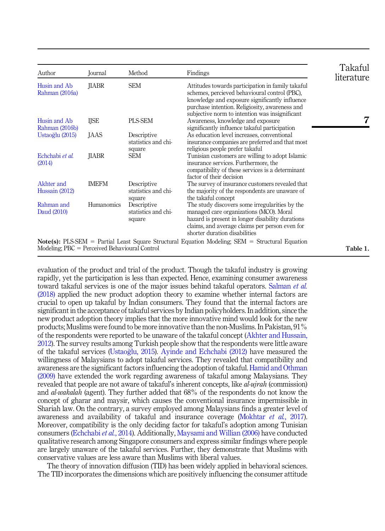| Author                                              | Journal      | Method                                       | Findings                                                                                                                                                                                                                                                 | Takaful<br>literature |
|-----------------------------------------------------|--------------|----------------------------------------------|----------------------------------------------------------------------------------------------------------------------------------------------------------------------------------------------------------------------------------------------------------|-----------------------|
| Husin and Ab<br>Rahman (2016a)                      | JIABR        | <b>SEM</b>                                   | Attitudes towards participation in family takaful<br>schemes, percieved behavioural control (PBC),<br>knowledge and exposure significantly influence<br>purchase intention. Religiosity, awareness and<br>subjective norm to intention was insignificant |                       |
| Husin and Ab<br>Rahman (2016b)                      | IJSE         | PLS-SEM                                      | Awareness, knowledge and exposure<br>significantly influence takaful participation                                                                                                                                                                       |                       |
| Ustaoğlu (2015)                                     | JAAS         | Descriptive<br>statistics and chi-<br>square | As education level increases, conventional<br>insurance companies are preferred and that most<br>religious people prefer takaful                                                                                                                         |                       |
| Echchabi et al.<br>(2014)                           | <b>IIABR</b> | <b>SEM</b>                                   | Tunisian customers are willing to adopt Islamic<br>insurance services. Furthermore, the<br>compatibility of these services is a determinant<br>factor of their decision                                                                                  |                       |
| Akhter and<br>Hussain (2012)                        | <b>IMEFM</b> | Descriptive<br>statistics and chi-<br>square | The survey of insurance customers revealed that<br>the majority of the respondents are unaware of<br>the takaful concept                                                                                                                                 |                       |
| Rahman and<br>Daud (2010)                           | Humanomics   | Descriptive<br>statistics and chi-<br>square | The study discovers some irregularities by the<br>managed care organizations (MCO). Moral<br>hazard is present in longer disability durations<br>claims, and average claims per person even for<br>shorter duration disabilities                         |                       |
| $Modeling$ ; $PBC = Percentage Belavioural Control$ |              |                                              | <b>Note(s):</b> PLS-SEM = Partial Least Square Structural Equation Modeling; SEM = Structural Equation                                                                                                                                                   | Table 1.              |

evaluation of the product and trial of the product. Though the takaful industry is growing rapidly, yet the participation is less than expected. Hence, examining consumer awareness toward takaful services is one of the major issues behind takaful operators. [Salman](#page-21-5) *et al.* [\(2018\)](#page-21-5) applied the new product adoption theory to examine whether internal factors are crucial to open up takaful by Indian consumers. They found that the internal factors are significant in the acceptance of takaful services by Indian policyholders. In addition, since the new product adoption theory implies that the more innovative mind would look for the new products; Muslims were found to be more innovative than the non-Muslims. In Pakistan, 91% of the respondents were reported to be unaware of the takaful concept ([Akhter and Hussain,](#page-17-2) [2012\)](#page-17-2). The survey results among Turkish people show that the respondents were little aware of the takaful services (Ustaoğlu, 2015). [Ayinde and Echchabi \(2012\)](#page-17-5) have measured the willingness of Malaysians to adopt takaful services. They revealed that compatibility and awareness are the significant factors influencing the adoption of takaful. [Hamid and Othman](#page-19-5) [\(2009\)](#page-19-5) have extended the work regarding awareness of takaful among Malaysians. They revealed that people are not aware of takaful's inherent concepts, like *al-ujrah* (commission) and *al-wakalah* (agent). They further added that 68% of the respondents do not know the concept of gharar and maysir, which causes the conventional insurance impermissible in Shariah law. On the contrary, a survey employed among Malaysians finds a greater level of awareness and availability of takaful and insurance coverage [\(Mokhtar](#page-20-4) et al., 2017). Moreover, compatibility is the only deciding factor for takaful's adoption among Tunisian consumers [\(Echchabi](#page-18-3) et al., 2014). Additionally, [Maysami and Willian \(2006\)](#page-20-2) have conducted qualitative research among Singapore consumers and express similar findings where people are largely unaware of the takaful services. Further, they demonstrate that Muslims with conservative values are less aware than Muslims with liberal values.

The theory of innovation diffusion (TID) has been widely applied in behavioral sciences. The TID incorporates the dimensions which are positively influencing the consumer attitude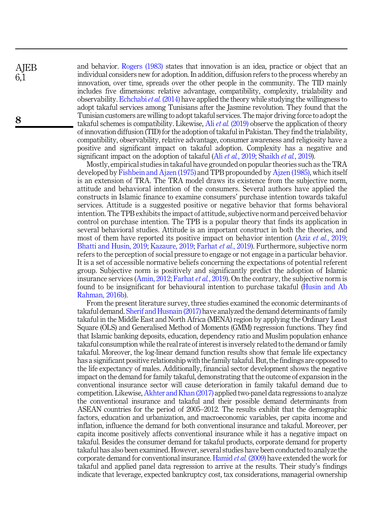and behavior. [Rogers \(1983\)](#page-21-6) states that innovation is an idea, practice or object that an individual considers new for adoption. In addition, diffusion refers to the process whereby an innovation, over time, spreads over the other people in the community. The TID mainly includes five dimensions: relative advantage, compatibility, complexity, trialability and observability. [Echchabi](#page-18-3) et al.  $(2014)$  have applied the theory while studying the willingness to adopt takaful services among Tunisians after the Jasmine revolution. They found that the Tunisian customers are willing to adopt takaful services. The major driving force to adopt the takaful schemes is compatibility. Likewise, Ali et al. [\(2019\)](#page-17-4) observe the application of theory of innovation diffusion (TID) for the adoption of takaful in Pakistan. They find the trialability, compatibility, observability, relative advantage, consumer awareness and religiosity have a positive and significant impact on takaful adoption. Complexity has a negative and significant impact on the adoption of takaful (Ali et al.[, 2019](#page-17-4); [Shaikh](#page-21-4) et al., 2019).

Mostly, empirical studies in takaful have grounded on popular theories such as the TRA developed by [Fishbein and Ajzen \(1975\)](#page-18-7) and TPB propounded by [Ajzen \(1985\),](#page-17-6) which itself is an extension of TRA. The TRA model draws its existence from the subjective norm, attitude and behavioral intention of the consumers. Several authors have applied the constructs in Islamic finance to examine consumers' purchase intention towards takaful services. Attitude is a suggested positive or negative behavior that forms behavioral intention. The TPB exhibits the impact of attitude, subjective norm and perceived behavior control on purchase intention. The TPB is a popular theory that finds its application in several behavioral studies. Attitude is an important construct in both the theories, and most of them have reported its positive impact on behavior intention (Aziz et al.[, 2019](#page-17-3); [Bhatti and Husin, 2019;](#page-18-6) [Kazaure, 2019](#page-20-3); [Farhat](#page-18-5) et al., 2019). Furthermore, subjective norm refers to the perception of social pressure to engage or not engage in a particular behavior. It is a set of accessible normative beliefs concerning the expectations of potential referent group. Subjective norm is positively and significantly predict the adoption of Islamic insurance services ([Amin, 2012;](#page-17-7) [Farhat](#page-18-5) *et al.*, 2019). On the contrary, the subjective norm is found to be insignificant for behavioural intention to purchase takaful ([Husin and Ab](#page-19-6) [Rahman, 2016b\)](#page-19-6).

From the present literature survey, three studies examined the economic determinants of takaful demand. [Sherif and Husnain \(2017\)](#page-21-7) have analyzed the demand determinants of family takaful in the Middle East and North Africa (MENA) region by applying the Ordinary Least Square (OLS) and Generalised Method of Moments (GMM) regression functions. They find that Islamic banking deposits, education, dependency ratio and Muslim population enhance takaful consumption while the real rate of interest is inversely related to the demand or family takaful. Moreover, the log-linear demand function results show that female life expectancy has a significant positive relationship with the family takaful. But, the findings are opposed to the life expectancy of males. Additionally, financial sector development shows the negative impact on the demand for family takaful, demonstrating that the outcome of expansion in the conventional insurance sector will cause deterioration in family takaful demand due to competition. Likewise, [Akhter and Khan \(2017\)](#page-17-8) applied two-panel data regressions to analyze the conventional insurance and takaful and their possible demand determinants from ASEAN countries for the period of 2005–2012. The results exhibit that the demographic factors, education and urbanization, and macroeconomic variables, per capita income and inflation, influence the demand for both conventional insurance and takaful. Moreover, per capita income positively affects conventional insurance while it has a negative impact on takaful. Besides the consumer demand for takaful products, corporate demand for property takaful has also been examined. However, several studies have been conducted to analyze the corporate demand for conventional insurance. [Hamid](#page-19-7) et al. (2009) have extended the work for takaful and applied panel data regression to arrive at the results. Their study's findings indicate that leverage, expected bankruptcy cost, tax considerations, managerial ownership

**AIEB** 6,1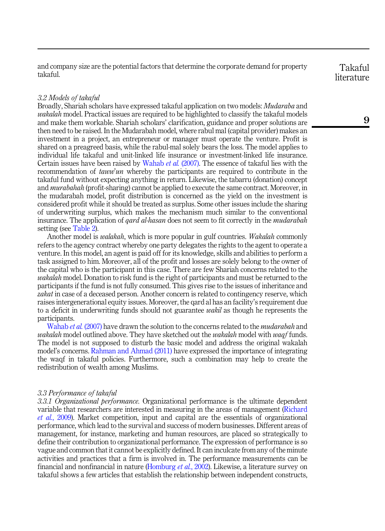and company size are the potential factors that determine the corporate demand for property takaful.

#### 3.2 Models of takaful

Broadly, Shariah scholars have expressed takaful application on two models: *Mudaraba* and wakalah model. Practical issues are required to be highlighted to classify the takaful models and make them workable. Shariah scholars' clarification, guidance and proper solutions are then need to be raised. In the Mudarabah model, where rabul mal (capital provider) makes an investment in a project, an entrepreneur or manager must operate the venture. Profit is shared on a preagreed basis, while the rabul-mal solely bears the loss. The model applies to individual life takaful and unit-linked life insurance or investment-linked life insurance. Certain issues have been raised by [Wahab](#page-22-6) et al. (2007). The essence of takaful lies with the recommendation of *taww'un* whereby the participants are required to contribute in the takaful fund without expecting anything in return. Likewise, the tabarru (donation) concept and *murabahah* (profit-sharing) cannot be applied to execute the same contract. Moreover, in the mudarabah model, profit distribution is concerned as the yield on the investment is considered profit while it should be treated as surplus. Some other issues include the sharing of underwriting surplus, which makes the mechanism much similar to the conventional insurance. The application of *gard al-hasan* does not seem to fit correctly in the *mudarabah* setting (see [Table 2](#page-8-0)).

Another model is *walakah*, which is more popular in gulf countries. *Wakalah* commonly refers to the agency contract whereby one party delegates the rights to the agent to operate a venture. In this model, an agent is paid off for its knowledge, skills and abilities to perform a task assigned to him. Moreover, all of the profit and losses are solely belong to the owner of the capital who is the participant in this case. There are few Shariah concerns related to the wakalah model. Donation to risk fund is the right of participants and must be returned to the participants if the fund is not fully consumed. This gives rise to the issues of inheritance and zakat in case of a deceased person. Another concern is related to contingency reserve, which raises intergenerational equity issues. Moreover, the qard al has an facility's requirement due to a deficit in underwriting funds should not guarantee *wakil* as though he represents the participants.

[Wahab](#page-22-6) et al. (2007) have drawn the solution to the concerns related to the *mudarabah* and wakalah model outlined above. They have sketched out the wakalah model with waqf funds. The model is not supposed to disturb the basic model and address the original wakalah model's concerns. [Rahman and Ahmad \(2011\)](#page-21-8) have expressed the importance of integrating the waqf in takaful policies. Furthermore, such a combination may help to create the redistribution of wealth among Muslims.

#### 3.3 Performance of takaful

3.3.1 Organizational performance. Organizational performance is the ultimate dependent variable that researchers are interested in measuring in the areas of management [\(Richard](#page-21-9) et al.[, 2009](#page-21-9)). Market competition, input and capital are the essentials of organizational performance, which lead to the survival and success of modern businesses. Different areas of management, for instance, marketing and human resources, are placed so strategically to define their contribution to organizational performance. The expression of performance is so vague and common that it cannot be explicitly defined. It can inculcate from any of the minute activities and practices that a firm is involved in. The performance measurements can be financial and nonfinancial in nature ([Homburg](#page-19-8) et al., 2002). Likewise, a literature survey on takaful shows a few articles that establish the relationship between independent constructs,

# Takaful literature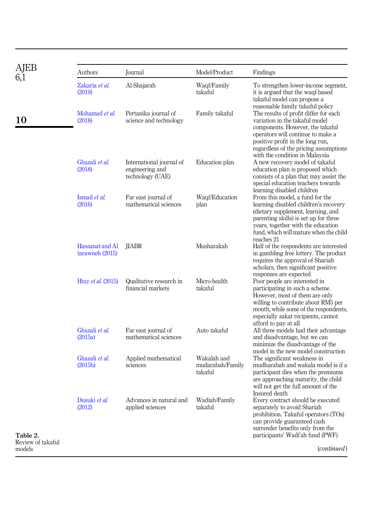<span id="page-8-0"></span>

|                             | Authors                            | Journal                                                         | Model/Product                              | Findings                                                                                                                                                                                                                                                                                            |
|-----------------------------|------------------------------------|-----------------------------------------------------------------|--------------------------------------------|-----------------------------------------------------------------------------------------------------------------------------------------------------------------------------------------------------------------------------------------------------------------------------------------------------|
|                             | Zakaria et al.<br>(2019)           | Al-Shajarah                                                     | Waqf/Family<br>takaful                     | To strengthen lower-income segment,<br>it is argued that the waqf-based<br>takaful model can propose a                                                                                                                                                                                              |
| 10                          | Mohamad et al.<br>(2018)           | Pertanika journal of<br>science and technology                  | Family takaful                             | reasonable family takaful policy<br>The results of profit differ for each<br>variation in the takaful model<br>components. However, the takaful<br>operators will continue to make a<br>positive profit in the long run,<br>regardless of the pricing assumptions<br>with the condition in Malaysia |
|                             | Ghazali et al.<br>(2018)           | International journal of<br>engineering and<br>technology (UAE) | Education plan                             | A new recovery model of takaful<br>education plan is proposed which<br>consists of a plan that may assist the<br>special education teachers towards<br>learning disabled children                                                                                                                   |
|                             | Ismail et al.<br>(2016)            | Far east journal of<br>mathematical sciences                    | Waqf/Education<br>plan                     | From this model, a fund for the<br>learning disabled children's recovery<br>(dietary supplement, learning, and<br>parenting skills) is set up for three<br>years, together with the education<br>fund, which will mature when the child<br>reaches 21                                               |
|                             | Hassanat and Al<br>tarawneh (2015) | <b>HABR</b>                                                     | Musharakah                                 | Half of the respondents are interested<br>in gambling free lottery. The product<br>requires the approval of Shariah<br>scholars, then significant positive<br>responses are expected                                                                                                                |
|                             | Htay et al. (2015)                 | Qualitative research in<br>financial markets                    | Micro-health<br>takaful                    | Poor people are interested in<br>participating in such a scheme.<br>However, most of them are only<br>willing to contribute about RM5 per<br>month, while some of the respondents,<br>especially zakat recipients, cannot<br>afford to pay at all                                                   |
|                             | Ghazali et al.<br>(2015a)          | Far east journal of<br>mathematical sciences                    | Auto takaful                               | All three models had their advantage<br>and disadvantage, but we can<br>minimize the disadvantage of the<br>model in the new model construction                                                                                                                                                     |
|                             | Ghazali et al.<br>(2015b)          | Applied mathematical<br>sciences                                | Wakalah and<br>mudarabah/Family<br>takaful | The significant weakness in<br>mudharabah and wakala model is if a<br>participant dies when the premiums<br>are approaching maturity, the child<br>will not get the full amount of the<br>Insured death                                                                                             |
| Table 2.                    | Dusuki et al.<br>(2012)            | Advances in natural and<br>applied sciences                     | Wadiah/Family<br>takaful                   | Every contract should be executed<br>separately to avoid Shariah<br>prohibition. Takaful operators (TOs)<br>can provide guaranteed cash<br>surrender benefits only from the<br>participants' Wadi'ah fund (PWF)                                                                                     |
| Review of takaful<br>models |                                    |                                                                 |                                            | (continued)                                                                                                                                                                                                                                                                                         |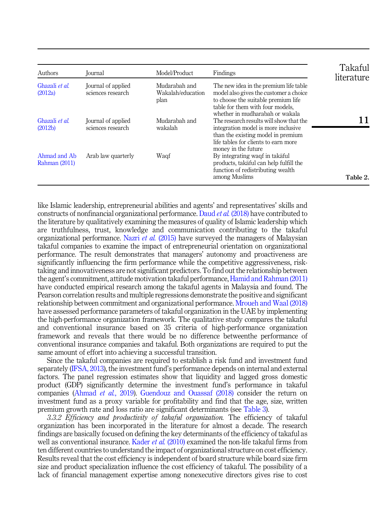| Authors                       | Journal                                 | Model/Product                              | Findings                                                                                                                                                                                       | Takaful<br>literature |
|-------------------------------|-----------------------------------------|--------------------------------------------|------------------------------------------------------------------------------------------------------------------------------------------------------------------------------------------------|-----------------------|
| Ghazali et al.<br>(2012a)     | Journal of applied<br>sciences research | Mudarabah and<br>Wakalah/education<br>plan | The new idea in the premium life table<br>model also gives the customer a choice<br>to choose the suitable premium life<br>table for them with four models.<br>whether in mudharabah or wakala |                       |
| Ghazali et al.<br>(2012b)     | Journal of applied<br>sciences research | Mudarabah and<br>wakalah                   | The research results will show that the<br>integration model is more inclusive.<br>than the existing model in premium<br>life tables for clients to earn more<br>money in the future           |                       |
| Ahmad and Ab<br>Rahman (2011) | Arab law quarterly                      | Waqf                                       | By integrating waqf in takaful<br>products, takāful can help fulfill the<br>function of redistributing wealth.<br>among Muslims                                                                | Table 2.              |

like Islamic leadership, entrepreneurial abilities and agents' and representatives' skills and constructs of nonfinancial organizational performance. Daud et al. [\(2018\)](#page-18-9) have contributed to the literature by qualitatively examining the measures of quality of Islamic leadership which are truthfulness, trust, knowledge and communication contributing to the takaful organizational performance. Nazri *et al.* [\(2015\)](#page-21-10) have surveyed the managers of Malaysian takaful companies to examine the impact of entrepreneurial orientation on organizational performance. The result demonstrates that managers' autonomy and proactiveness are significantly influencing the firm performance while the competitive aggressiveness, risktaking and innovativeness are not significant predictors. To find out the relationship between the agent's commitment, attitude motivation takaful performance, [Hamid and Rahman \(2011\)](#page-19-14) have conducted empirical research among the takaful agents in Malaysia and found. The Pearson correlation results and multiple regressions demonstrate the positive and significant relationship between commitment and organizational performance. [Mroueh and Waal \(2018\)](#page-20-7) have assessed performance parameters of takaful organization in the UAE by implementing the high-performance organization framework. The qualitative study compares the takaful and conventional insurance based on 35 criteria of high-performance organization framework and reveals that there would be no difference betweenthe performance of conventional insurance companies and takaful. Both organizations are required to put the same amount of effort into achieving a successful transition.

Since the takaful companies are required to establish a risk fund and investment fund separately ([IFSA, 2013](#page-19-15)), the investment fund's performance depends on internal and external factors. The panel regression estimates show that liquidity and lagged gross domestic product (GDP) significantly determine the investment fund's performance in takaful companies [\(Ahmad](#page-17-9) et al., 2019). [Guendouz and Ouassaf \(2018\)](#page-19-16) consider the return on investment fund as a proxy variable for profitability and find that the age, size, written premium growth rate and loss ratio are significant determinants (see [Table 3\)](#page-10-0).

3.3.2 Efficiency and productivity of takaful organization. The efficiency of takaful organization has been incorporated in the literature for almost a decade. The research findings are basically focused on defining the key determinants of the efficiency of takaful as well as conventional insurance. [Kader](#page-20-8) et al. (2010) examined the non-life takaful firms from ten different countries to understand the impact of organizational structure on cost efficiency. Results reveal that the cost efficiency is independent of board structure while board size firm size and product specialization influence the cost efficiency of takaful. The possibility of a lack of financial management expertise among nonexecutive directors gives rise to cost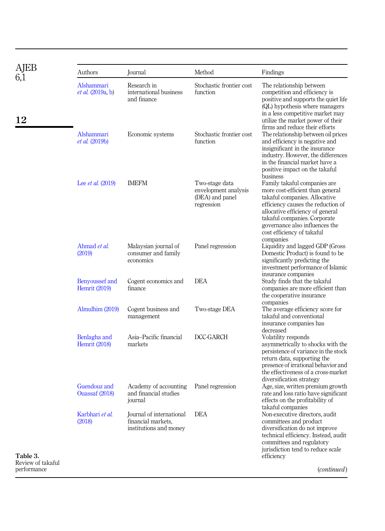<span id="page-10-0"></span>

| AJEB                          | Authors                                | Journal                                                                  | Method                                                                  | Findings                                                                                                                                                                                                                                                                    |
|-------------------------------|----------------------------------------|--------------------------------------------------------------------------|-------------------------------------------------------------------------|-----------------------------------------------------------------------------------------------------------------------------------------------------------------------------------------------------------------------------------------------------------------------------|
| 6,1<br>12                     | Alshammari<br><i>et al.</i> (2019a, b) | Research in<br>international business<br>and finance                     | Stochastic frontier cost<br>function                                    | The relationship between<br>competition and efficiency is<br>positive and supports the quiet life<br>(QL) hypothesis where managers<br>in a less competitive market may<br>utilize the market power of their                                                                |
|                               | Alshammari<br><i>et al.</i> (2019b)    | Economic systems                                                         | Stochastic frontier cost<br>function                                    | firms and reduce their efforts<br>The relationship between oil prices<br>and efficiency is negative and<br>insignificant in the insurance<br>industry. However, the differences<br>in the financial market have a<br>positive impact on the takaful<br>business             |
|                               | Lee <i>et al.</i> (2019)               | <b>IMEFM</b>                                                             | Two-stage data<br>envelopment analysis<br>(DEA) and panel<br>regression | Family takaful companies are<br>more cost-efficient than general<br>takaful companies. Allocative<br>efficiency causes the reduction of<br>allocative efficiency of general<br>takaful companies. Corporate<br>governance also influences the<br>cost efficiency of takaful |
|                               | Ahmad et al.<br>(2019)                 | Malaysian journal of<br>consumer and family<br>economics                 | Panel regression                                                        | companies<br>Liquidity and lagged GDP (Gross<br>Domestic Product) is found to be<br>significantly predicting the<br>investment performance of Islamic<br>insurance companies                                                                                                |
|                               | Benyoussef and<br><b>Hemrit</b> (2019) | Cogent economics and<br>finance                                          | <b>DEA</b>                                                              | Study finds that the takaful<br>companies are more efficient than<br>the cooperative insurance<br>companies                                                                                                                                                                 |
|                               | Almulhim (2019)                        | Cogent business and<br>management                                        | Two-stage DEA                                                           | The average efficiency score for<br>takaful and conventional<br>insurance companies has<br>decreased                                                                                                                                                                        |
|                               | Benlagha and<br><b>Hemrit</b> (2018)   | Asia-Pacific financial<br>markets                                        | DCC-GARCH                                                               | Volatility responds<br>asymmetrically to shocks with the<br>persistence of variance in the stock<br>return data, supporting the<br>presence of irrational behavior and<br>the effectiveness of a cross-market<br>diversification strategy                                   |
|                               | Guendouz and<br>Ouassaf (2018)         | Academy of accounting<br>and financial studies<br>journal                | Panel regression                                                        | Age, size, written premium growth<br>rate and loss ratio have significant<br>effects on the profitability of<br>takaful companies                                                                                                                                           |
| Table 3.<br>Review of takaful | Karbhari et al.<br>(2018)              | Journal of international<br>financial markets.<br>institutions and money | DEA                                                                     | Non-executive directors, audit<br>committees and product<br>diversification do not improve<br>technical efficiency. Instead, audit<br>committees and regulatory<br>jurisdiction tend to reduce scale<br>efficiency                                                          |

performance

(continued)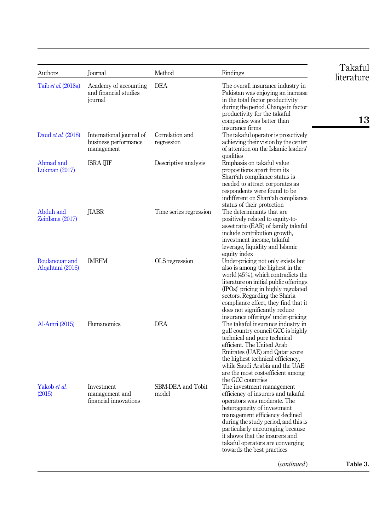| Authors                            | Journal                                                        | Method                        | Findings                                                                                                                                                                                                                                                                                                                                        | Takaful<br>literature |
|------------------------------------|----------------------------------------------------------------|-------------------------------|-------------------------------------------------------------------------------------------------------------------------------------------------------------------------------------------------------------------------------------------------------------------------------------------------------------------------------------------------|-----------------------|
| Taib et al. (2018a)                | Academy of accounting<br>and financial studies<br>journal      | DEA                           | The overall insurance industry in<br>Pakistan was enjoying an increase<br>in the total factor productivity<br>during the period. Change in factor<br>productivity for the takaful<br>companies was better than                                                                                                                                  | 13                    |
| Daud et al. (2018)                 | International journal of<br>business performance<br>management | Correlation and<br>regression | insurance firms<br>The takaful operator is proactively<br>achieving their vision by the center<br>of attention on the Islamic leaders'<br>qualities                                                                                                                                                                                             |                       |
| Ahmad and<br>Lukman $(2017)$       | ISRA IJIF                                                      | Descriptive analysis          | Emphasis on takaful value<br>propositions apart from its<br>Shart'ah compliance status is<br>needed to attract corporates as<br>respondents were found to be<br>indifferent on Shari'ah compliance<br>status of their protection                                                                                                                |                       |
| Abduh and<br>ZeinIsma (2017)       | <b>JIABR</b>                                                   | Time series regression        | The determinants that are<br>positively related to equity-to-<br>asset ratio (EAR) of family takaful<br>include contribution growth,<br>investment income, takaful<br>leverage, liquidity and Islamic<br>equity index                                                                                                                           |                       |
| Boulanouar and<br>Alqahtani (2016) | <b>IMEFM</b>                                                   | OLS regression                | Under-pricing not only exists but<br>also is among the highest in the<br>world $(45\%)$ , which contradicts the<br>literature on initial public offerings<br>(IPOs)' pricing in highly regulated<br>sectors. Regarding the Sharia<br>compliance effect, they find that it<br>does not significantly reduce                                      |                       |
| Al-Amri (2015)                     | Humanomics                                                     | <b>DEA</b>                    | insurance offerings' under-pricing<br>The takaful insurance industry in<br>gulf country council GCC is highly<br>technical and pure technical<br>efficient. The United Arab<br>Emirates (UAE) and Qatar score<br>the highest technical efficiency,<br>while Saudi Arabia and the UAE<br>are the most cost-efficient among<br>the GCC countries  |                       |
| Yakob et al.<br>(2015)             | Investment<br>management and<br>financial innovations          | SBM-DEA and Tobit<br>model    | The investment management<br>efficiency of insurers and takaful<br>operators was moderate. The<br>heterogeneity of investment<br>management efficiency declined<br>during the study period, and this is<br>particularly encouraging because<br>it shows that the insurers and<br>takaful operators are converging<br>towards the best practices |                       |
|                                    |                                                                |                               | ( <i>continued</i> )                                                                                                                                                                                                                                                                                                                            | Table 3.              |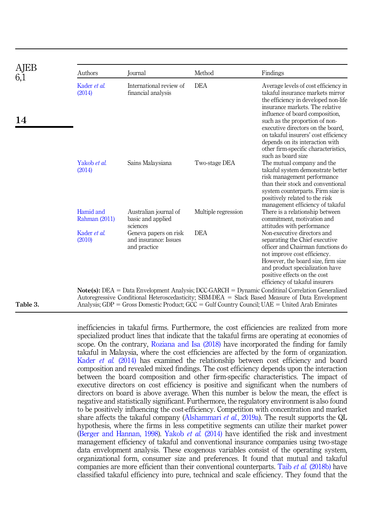| AJEB     | Authors                    | Journal                                                        | Method              | Findings                                                                                                                                                                                                                                                                                                                                    |
|----------|----------------------------|----------------------------------------------------------------|---------------------|---------------------------------------------------------------------------------------------------------------------------------------------------------------------------------------------------------------------------------------------------------------------------------------------------------------------------------------------|
|          | Kader et al.<br>(2014)     | International review of<br>financial analysis                  | <b>DEA</b>          | Average levels of cost efficiency in<br>takaful insurance markets mirror<br>the efficiency in developed non-life<br>insurance markets. The relative                                                                                                                                                                                         |
| 14       |                            |                                                                |                     | influence of board composition.<br>such as the proportion of non-<br>executive directors on the board,<br>on takaful insurers' cost efficiency<br>depends on its interaction with<br>other firm-specific characteristics,<br>such as board size                                                                                             |
|          | Yakob et al.<br>(2014)     | Sains Malaysiana                                               | Two-stage DEA       | The mutual company and the<br>takaful system demonstrate better<br>risk management performance<br>than their stock and conventional<br>system counterparts. Firm size is<br>positively related to the risk<br>management efficiency of takaful                                                                                              |
|          | Hamid and<br>Rahman (2011) | Australian journal of<br>basic and applied<br>sciences         | Multiple regression | There is a relationship between<br>commitment, motivation and<br>attitudes with performance                                                                                                                                                                                                                                                 |
|          | Kader et al.<br>(2010)     | Geneva papers on risk<br>and insurance: Issues<br>and practice | <b>DEA</b>          | Non-executive directors and<br>separating the Chief executive<br>officer and Chairman functions do<br>not improve cost efficiency.<br>However, the board size, firm size<br>and product specialization have<br>positive effects on the cost<br>efficiency of takaful insurers                                                               |
| Table 3. |                            |                                                                |                     | $Note(s): \text{DEA} = \text{Data Envelopment Analysis}; \text{DCC-GARCH} = \text{Dynamic Conditional Correlation Generalized}$<br>Autoregressive Conditional Heteroscedasticity; SBM-DEA = Slack Based Measure of Data Envelopment<br>Analysis; $GDP = Gross$ Domestic Product; $GCC = Gulf$ Country Council; $UAE = United$ Arab Emirates |

inefficiencies in takaful firms. Furthermore, the cost efficiencies are realized from more specialized product lines that indicate that the takaful firms are operating at economies of scope. On the contrary, [Roziana and Isa \(2018\)](#page-21-11) have incorporated the finding for family takaful in Malaysia, where the cost efficiencies are affected by the form of organization. [Kader](#page-20-11) et al. (2014) has examined the relationship between cost efficiency and board composition and revealed mixed findings. The cost efficiency depends upon the interaction between the board composition and other firm-specific characteristics. The impact of executive directors on cost efficiency is positive and significant when the numbers of directors on board is above average. When this number is below the mean, the effect is negative and statistically significant. Furthermore, the regulatory environment is also found to be positively influencing the cost-efficiency. Competition with concentration and market share affects the takaful company [\(Alshammari](#page-17-10) *et al.*, 2019a). The result supports the QL hypothesis, where the firms in less competitive segments can utilize their market power ([Berger and Hannan, 1998\)](#page-18-14). [Yakob](#page-22-10) *et al.* (2014) have identified the risk and investment management efficiency of takaful and conventional insurance companies using two-stage data envelopment analysis. These exogenous variables consist of the operating system, organizational form, consumer size and preferences. It found that mutual and takaful companies are more efficient than their conventional counterparts. Taib et al. [\(2018b\)](#page-22-11) have classified takaful efficiency into pure, technical and scale efficiency. They found that the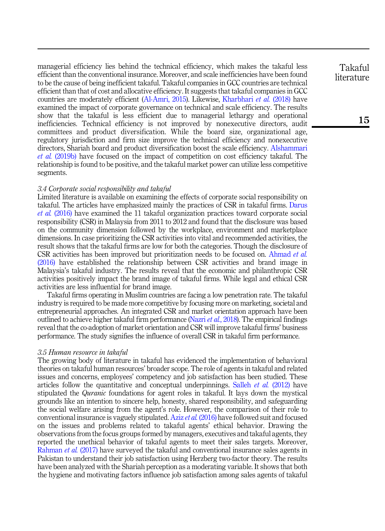managerial efficiency lies behind the technical efficiency, which makes the takaful less efficient than the conventional insurance. Moreover, and scale inefficiencies have been found to be the cause of being inefficient takaful. Takaful companies in GCC countries are technical efficient than that of cost and allocative efficiency. It suggests that takaful companies in GCC countries are moderately efficient [\(Al-Amri, 2015\)](#page-17-14). Likewise, [Kharbhari](#page-20-10) et al. (2018) have examined the impact of corporate governance on technical and scale efficiency. The results show that the takaful is less efficient due to managerial lethargy and operational inefficiencies. Technical efficiency is not improved by nonexecutive directors, audit committees and product diversification. While the board size, organizational age, regulatory jurisdiction and firm size improve the technical efficiency and nonexecutive directors, Shariah board and product diversification boost the scale efficiency. [Alshammari](#page-17-11) et al. [\(2019b\)](#page-17-11) have focused on the impact of competition on cost efficiency takaful. The relationship is found to be positive, and the takaful market power can utilize less competitive segments.

# 3.4 Corporate social responsibility and takaful

Limited literature is available on examining the effects of corporate social responsibility on takaful. The articles have emphasized mainly the practices of CSR in takaful firms. [Darus](#page-18-15) et al. [\(2016\)](#page-18-15) have examined the 11 takaful organization practices toward corporate social responsibility (CSR) in Malaysia from 2011 to 2012 and found that the disclosure was based on the community dimension followed by the workplace, environment and marketplace dimensions. In case prioritizing the CSR activities into vital and recommended activities, the result shows that the takaful firms are low for both the categories. Though the disclosure of CSR activities has been improved but prioritization needs to be focused on. [Ahmad](#page-17-15) et al. [\(2016\)](#page-17-15) have established the relationship between CSR activities and brand image in Malaysia's takaful industry. The results reveal that the economic and philanthropic CSR activities positively impact the brand image of takaful firms. While legal and ethical CSR activities are less influential for brand image.

Takaful firms operating in Muslim countries are facing a low penetration rate. The takaful industry is required to be made more competitive by focusing more on marketing, societal and entrepreneurial approaches. An integrated CSR and market orientation approach have been outlined to achieve higher takaful firm performance (Nazri *et al.*[, 2018\)](#page-21-12). The empirical findings reveal that the co-adoption of market orientation and CSR will improve takaful firms' business performance. The study signifies the influence of overall CSR in takaful firm performance.

#### 3.5 Human resource in takaful

The growing body of literature in takaful has evidenced the implementation of behavioral theories on takaful human resources' broader scope. The role of agents in takaful and related issues and concerns, employees' competency and job satisfaction has been studied. These articles follow the quantitative and conceptual underpinnings. [Salleh](#page-21-13) *et al.* (2012) have stipulated the *Quranic* foundations for agent roles in takaful. It lays down the mystical grounds like an intention to sincere help, honesty, shared responsibility, and safeguarding the social welfare arising from the agent's role. However, the comparison of their role to conventional insurance is vaguely stipulated. Aziz et al. [\(2016\)](#page-17-16) have followed suit and focused on the issues and problems related to takaful agents' ethical behavior. Drawing the observations from the focus groups formed by managers, executives and takaful agents, they reported the unethical behavior of takaful agents to meet their sales targets. Moreover, [Rahman](#page-21-14) et al. (2017) have surveyed the takaful and conventional insurance sales agents in Pakistan to understand their job satisfaction using Herzberg two-factor theory. The results have been analyzed with the Shariah perception as a moderating variable. It shows that both the hygiene and motivating factors influence job satisfaction among sales agents of takaful

Takaful literature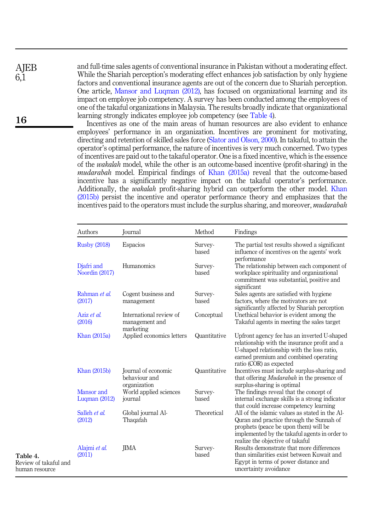**AIEB** 6,1

16

and full-time sales agents of conventional insurance in Pakistan without a moderating effect. While the Shariah perception's moderating effect enhances job satisfaction by only hygiene factors and conventional insurance agents are out of the concern due to Shariah perception. One article, [Mansor and Luqman \(2012\)](#page-20-12), has focused on organizational learning and its impact on employee job competency. A survey has been conducted among the employees of one of the takaful organizations in Malaysia. The results broadly indicate that organizational learning strongly indicates employee job competency (see Table 4).

Incentives as one of the main areas of human resources are also evident to enhance employees' performance in an organization. Incentives are prominent for motivating, directing and retention of skilled sales force ([Slator and Olson, 2000](#page-21-15)). In takaful, to attain the operator's optimal performance, the nature of incentives is very much concerned. Two types of incentives are paid out to the takaful operator. One is a fixed incentive, which is the essence of the wakalah model, while the other is an outcome-based incentive (profit-sharing) in the mudarabah model. Empirical findings of [Khan \(2015a\)](#page-20-13) reveal that the outcome-based incentive has a significantly negative impact on the takaful operator's performance. Additionally, the wakalah profit-sharing hybrid can outperform the other model. [Khan](#page-20-14) [\(2015b\)](#page-20-14) persist the incentive and operator performance theory and emphasizes that the incentives paid to the operators must include the surplus sharing, and moreover, *mudarabah* 

|                                                     | Authors                       | Journal                                                | Method           | Findings                                                                                                                                                                                                                 |
|-----------------------------------------------------|-------------------------------|--------------------------------------------------------|------------------|--------------------------------------------------------------------------------------------------------------------------------------------------------------------------------------------------------------------------|
|                                                     | <b>Rusby (2018)</b>           | Espacios                                               | Survey-<br>based | The partial test results showed a significant<br>influence of incentives on the agents' work                                                                                                                             |
|                                                     | Djafri and<br>Noordin (2017)  | Humanomics                                             | Survey-<br>based | performance<br>The relationship between each component of<br>workplace spirituality and organizational<br>commitment was substantial, positive and<br>significant                                                        |
|                                                     | Rahman et al.<br>(2017)       | Cogent business and<br>management                      | Survey-<br>based | Sales agents are satisfied with hygiene<br>factors, where the motivators are not<br>significantly affected by Shariah perception                                                                                         |
|                                                     | Aziz et al.<br>(2016)         | International review of<br>management and<br>marketing | Conceptual       | Unethical behavior is evident among the<br>Takaful agents in meeting the sales target                                                                                                                                    |
|                                                     | Khan (2015a)                  | Applied economics letters                              | Quantitative     | Upfront agency fee has an inverted U-shaped<br>relationship with the insurance profit and a<br>U-shaped relationship with the loss ratio,<br>earned premium and combined operating<br>ratio (COR) as expected            |
|                                                     | Khan (2015b)                  | Journal of economic<br>behaviour and<br>organization   | Quantitative     | Incentives must include surplus-sharing and<br>that offering <i>Mudarabah</i> in the presence of<br>surplus-sharing is optimal                                                                                           |
|                                                     | Mansor and<br>Luqman $(2012)$ | World applied sciences<br>journal                      | Survey-<br>based | The findings reveal that the concept of<br>internal exchange skills is a strong indicator<br>that could increase competency learning                                                                                     |
|                                                     | Salleh et al.<br>(2012)       | Global journal Al-<br>Thaqafah                         | Theoretical      | All of the islamic values as stated in the Al-<br>Quran and practice through the Sunnah of<br>prophets (peace be upon them) will be<br>implemented by the takaful agents in order to<br>realize the objective of takaful |
| Table 4.<br>Review of takaful and<br>human resource | Alajmi et al.<br>(2011)       | <b>IIMA</b>                                            | Survey-<br>based | Results demonstrate that more differences<br>than similarities exist between Kuwait and<br>Egypt in terms of power distance and<br>uncertainty avoidance                                                                 |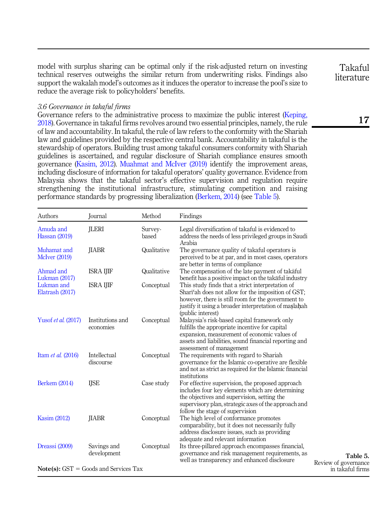model with surplus sharing can be optimal only if the risk-adjusted return on investing technical reserves outweighs the similar return from underwriting risks. Findings also support the wakalah model's outcomes as it induces the operator to increase the pool's size to reduce the average risk to policyholders' benefits.

#### 3.6 Governance in takaful firms

Governance refers to the administrative process to maximize the public interest ([Keping,](#page-20-15) [2018\)](#page-20-15). Governance in takaful firms revolves around two essential principles, namely, the rule of law and accountability. In takaful, the rule of law refers to the conformity with the Shariah law and guidelines provided by the respective central bank. Accountability in takaful is the stewardship of operators. Building trust among takaful consumers conformity with Shariah guidelines is ascertained, and regular disclosure of Shariah compliance ensures smooth governance [\(Kasim, 2012\)](#page-20-16). [Muahmat and McIver \(2019\)](#page-21-17) identify the improvement areas, including disclosure of information for takaful operators' quality governance. Evidence from Malaysia shows that the takaful sector's effective supervision and regulation require strengthening the institutional infrastructure, stimulating competition and raising performance standards by progressing liberalization ([Berkem, 2014](#page-18-17)) (see Table 5).

| Authors                             | Journal                                 | Method           | Findings                                                                                                                                                                                                                                       |
|-------------------------------------|-----------------------------------------|------------------|------------------------------------------------------------------------------------------------------------------------------------------------------------------------------------------------------------------------------------------------|
| Amuda and<br>Hassan (2019)          | <b>JLERI</b>                            | Survey-<br>based | Legal diversification of takaful is evidenced to<br>address the needs of less privileged groups in Saudi<br>Arabia                                                                                                                             |
| Muhamat and<br><b>McIver</b> (2019) | <b>JIABR</b>                            | Qualitative      | The governance quality of takaful operators is<br>perceived to be at par, and in most cases, operators<br>are better in terms of compliance                                                                                                    |
| Ahmad and<br>Lukman (2017)          | <b>ISRA IJIF</b>                        | Qualitative      | The compensation of the late payment of takaful<br>benefit has a positive impact on the takaful industry                                                                                                                                       |
| Lukman and<br>Elatrash (2017)       | <b>ISRA IJIF</b>                        | Conceptual       | This study finds that a strict interpretation of<br>Shari'ah does not allow for the imposition of GST;<br>however, there is still room for the government to<br>justify it using a broader interpretation of maslahah<br>(public interest)     |
| Yusof et al. (2017)                 | Institutions and<br>economies           | Conceptual       | Malaysia's risk-based capital framework only<br>fulfills the appropriate incentive for capital<br>expansion, measurement of economic values of<br>assets and liabilities, sound financial reporting and<br>assessment of management            |
| Itam et al. (2016)                  | Intellectual<br>discourse               | Conceptual       | The requirements with regard to Shariah<br>governance for the Islamic co-operative are flexible<br>and not as strict as required for the Islamic financial<br>institutions                                                                     |
| <b>Berkem (2014)</b>                | <b>IJSE</b>                             | Case study       | For effective supervision, the proposed approach<br>includes four key elements which are determining<br>the objectives and supervision, setting the<br>supervisory plan, strategic axes of the approach and<br>follow the stage of supervision |
| Kasim (2012)                        | <b>IIABR</b>                            | Conceptual       | The high level of conformance promotes<br>comparability, but it does not necessarily fully<br>address disclosure issues, such as providing<br>adequate and relevant information                                                                |
| Dreassi (2009)                      | Savings and<br>development              | Conceptual       | Its three-pillared approach encompasses financial,<br>governance and risk management requirements, as<br>well as transparency and enhanced disclosure                                                                                          |
|                                     | $Note(s): GST = Goods$ and Services Tax |                  |                                                                                                                                                                                                                                                |

Takaful literature

17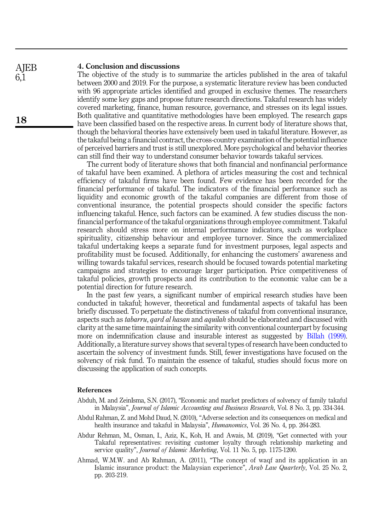#### 4. Conclusion and discussions **AIEB**

The objective of the study is to summarize the articles published in the area of takaful between 2000 and 2019. For the purpose, a systematic literature review has been conducted with 96 appropriate articles identified and grouped in exclusive themes. The researchers identify some key gaps and propose future research directions. Takaful research has widely covered marketing, finance, human resource, governance, and stresses on its legal issues. Both qualitative and quantitative methodologies have been employed. The research gaps have been classified based on the respective areas. In current body of literature shows that, though the behavioral theories have extensively been used in takaful literature. However, as the takaful being a financial contract, the cross-country examination of the potential influence of perceived barriers and trust is still unexplored. More psychological and behavior theories can still find their way to understand consumer behavior towards takaful services.

The current body of literature shows that both financial and nonfinancial performance of takaful have been examined. A plethora of articles measuring the cost and technical efficiency of takaful firms have been found. Few evidence has been recorded for the financial performance of takaful. The indicators of the financial performance such as liquidity and economic growth of the takaful companies are different from those of conventional insurance, the potential prospects should consider the specific factors influencing takaful. Hence, such factors can be examined. A few studies discuss the nonfinancial performance of the takaful organizations through employee commitment. Takaful research should stress more on internal performance indicators, such as workplace spirituality, citizenship behaviour and employee turnover. Since the commercialized takaful undertaking keeps a separate fund for investment purposes, legal aspects and profitability must be focused. Additionally, for enhancing the customers' awareness and willing towards takaful services, research should be focused towards potential marketing campaigns and strategies to encourage larger participation. Price competitiveness of takaful policies, growth prospects and its contribution to the economic value can be a potential direction for future research.

In the past few years, a significant number of empirical research studies have been conducted in takaful; however, theoretical and fundamental aspects of takaful has been briefly discussed. To perpetuate the distinctiveness of takaful from conventional insurance, aspects such as *tabarru, qard al hasan* and *aquilah* should be elaborated and discussed with clarity at the same time maintaining the similarity with conventional counterpart by focusing more on indemnification clause and insurable interest as suggested by [Billah \(1999\)](#page-18-0). Additionally, a literature survey shows that several types of research have been conducted to ascertain the solvency of investment funds. Still, fewer investigations have focused on the solvency of risk fund. To maintain the essence of takaful, studies should focus more on discussing the application of such concepts.

### References

- <span id="page-16-0"></span>Abduh, M. and ZeinIsma, S.N. (2017), "Economic and market predictors of solvency of family takaful in Malaysia", Journal of Islamic Accounting and Business Research, Vol. 8 No. 3, pp. 334-344.
- <span id="page-16-2"></span>Abdul Rahman, Z. and Mohd Daud, N. (2010), "Adverse selection and its consequences on medical and health insurance and takaful in Malaysia", Humanomics, Vol. 26 No. 4, pp. 264-283.
- <span id="page-16-1"></span>Abdur Rehman, M., Osman, I., Aziz, K., Koh, H. and Awais, M. (2019), "Get connected with your Takaful representatives: revisiting customer loyalty through relationship marketing and service quality", Journal of Islamic Marketing, Vol. 11 No. 5, pp. 1175-1200.
- <span id="page-16-3"></span>Ahmad, W.M.W. and Ab Rahman, A. (2011), "The concept of waqf and its application in an Islamic insurance product: the Malaysian experience", Arab Law Quarterly, Vol. 25 No. 2, pp. 203-219.

6,1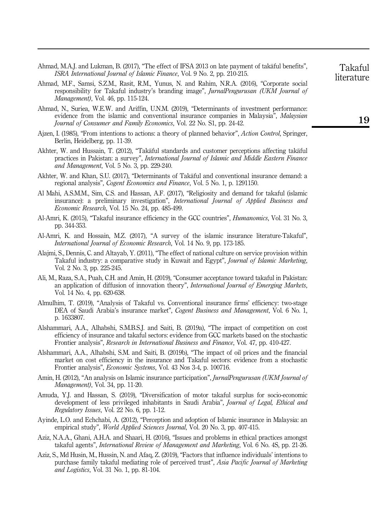- <span id="page-17-13"></span>Ahmad, M.A.J. and Lukman, B. (2017), "The effect of IFSA 2013 on late payment of takaful benefits", ISRA International Journal of Islamic Finance, Vol. 9 No. 2, pp. 210-215.
- <span id="page-17-15"></span>Ahmad, M.F., Samsi, S.Z.M., Rasit, R.M., Yunus, N. and Rahim, N.R.A. (2016), "Corporate social responsibility for Takaful industry's branding image", JurnalPengurusan (UKM Journal of Management), Vol. 46, pp. 115-124.
- <span id="page-17-9"></span>Ahmad, N., Suriea, W.E.W. and Ariffin, U.N.M. (2019), "Determinants of investment performance: evidence from the islamic and conventional insurance companies in Malaysia", Malaysian Journal of Consumer and Family Economics, Vol. 22 No. S1, pp. 24-42.
- <span id="page-17-6"></span>Ajzen, I. (1985), "From intentions to actions: a theory of planned behavior", Action Control, Springer, Berlin, Heidelberg, pp. 11-39.
- <span id="page-17-2"></span>Akhter, W. and Hussain, T. (2012), "Takaful standards and customer perceptions affecting takaful practices in Pakistan: a survey", International Journal of Islamic and Middle Eastern Finance and Management, Vol. 5 No. 3, pp. 229-240.
- <span id="page-17-8"></span>Akhter, W. and Khan, S.U. (2017), "Determinants of Takaful and conventional insurance demand: a regional analysis", Cogent Economics and Finance, Vol. 5 No. 1, p. 1291150.
- <span id="page-17-1"></span>Al Mahi, A.S.M.M., Sim, C.S. and Hassan, A.F. (2017), "Religiosity and demand for takaful (islamic insurance): a preliminary investigation", International Journal of Applied Business and Economic Research, Vol. 15 No. 24, pp. 485-499.
- <span id="page-17-14"></span>Al-Amri, K. (2015), "Takaful insurance efficiency in the GCC countries", Humanomics, Vol. 31 No. 3, pp. 344-353.
- <span id="page-17-0"></span>Al-Amri, K. and Hossain, M.Z. (2017), "A survey of the islamic insurance literature-Takaful", International Journal of Economic Research, Vol. 14 No. 9, pp. 173-185.
- <span id="page-17-17"></span>Alajmi, S., Dennis, C. and Altayab, Y. (2011), "The effect of national culture on service provision within Takaful industry: a comparative study in Kuwait and Egypt", Journal of Islamic Marketing, Vol. 2 No. 3, pp. 225-245.
- <span id="page-17-4"></span>Ali, M., Raza, S.A., Puah, C.H. and Amin, H. (2019), "Consumer acceptance toward takaful in Pakistan: an application of diffusion of innovation theory", International Journal of Emerging Markets, Vol. 14 No. 4, pp. 620-638.
- <span id="page-17-12"></span>Almulhim, T. (2019), "Analysis of Takaful vs. Conventional insurance firms' efficiency: two-stage DEA of Saudi Arabia's insurance market", Cogent Business and Management, Vol. 6 No. 1, p. 1633807.
- <span id="page-17-10"></span>Alshammari, A.A., Alhabshi, S.M.B.S.J. and Saiti, B. (2019a), "The impact of competition on cost efficiency of insurance and takaful sectors: evidence from GCC markets based on the stochastic Frontier analysis", Research in International Business and Finance, Vol. 47, pp. 410-427.
- <span id="page-17-11"></span>Alshammari, A.A., Alhabshi, S.M. and Saiti, B. (2019b), "The impact of oil prices and the financial market on cost efficiency in the insurance and Takaful sectors: evidence from a stochastic Frontier analysis", Economic Systems, Vol. 43 Nos 3-4, p. 100716.
- <span id="page-17-7"></span>Amin, H. (2012), "An analysis on Islamic insurance participation", *JurnalPengurusan (UKM Journal of* Management), Vol. 34, pp. 11-20.
- <span id="page-17-18"></span>Amuda, Y.J. and Hassan, S. (2019), "Diversification of motor takaful surplus for socio-economic development of less privileged inhabitants in Saudi Arabia", Journal of Legal, Ethical and Regulatory Issues, Vol. 22 No. 6, pp. 1-12.
- <span id="page-17-5"></span>Ayinde, L.O. and Echchabi, A. (2012), "Perception and adoption of Islamic insurance in Malaysia: an empirical study", *World Applied Sciences Journal*, Vol. 20 No. 3, pp. 407-415.
- <span id="page-17-16"></span>Aziz, N.A.A., Ghani, A.H.A. and Shaari, H. (2016), "Issues and problems in ethical practices amongst takaful agents", International Review of Management and Marketing, Vol. 6 No. 4S, pp. 21-26.
- <span id="page-17-3"></span>Aziz, S., Md Husin, M., Hussin, N. and Afaq, Z. (2019), "Factors that influence individuals' intentions to purchase family takaful mediating role of perceived trust", Asia Pacific Journal of Marketing and Logistics, Vol. 31 No. 1, pp. 81-104.

Takaful literature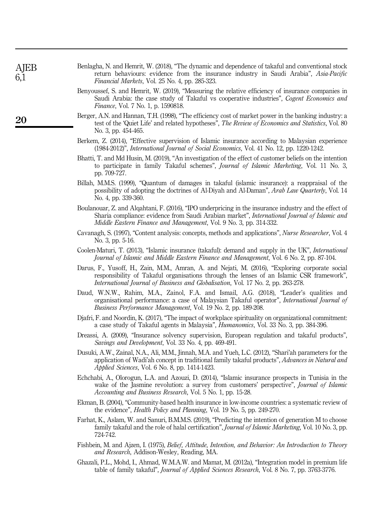<span id="page-18-17"></span><span id="page-18-14"></span><span id="page-18-12"></span><span id="page-18-11"></span><span id="page-18-6"></span>

| AJEB<br>6,1 | Benlagha, N. and Hemrit, W. (2018), "The dynamic and dependence of takaful and conventional stock<br>return behaviours: evidence from the insurance industry in Saudi Arabia", Asia-Pacific<br><i>Financial Markets, Vol. 25 No. 4, pp. 285-323.</i>                               |
|-------------|------------------------------------------------------------------------------------------------------------------------------------------------------------------------------------------------------------------------------------------------------------------------------------|
|             | Benyoussef, S. and Hemrit, W. (2019), "Measuring the relative efficiency of insurance companies in<br>Saudi Arabia: the case study of Takaful vs cooperative industries", Cogent Economics and<br>Finance, Vol. 7 No. 1, p. 1590818.                                               |
| 20          | Berger, A.N. and Hannan, T.H. (1998), "The efficiency cost of market power in the banking industry: a<br>test of the 'Quiet Life' and related hypotheses", The Review of Economics and Statistics, Vol. 80<br>No. 3, pp. 454-465.                                                  |
|             | Berkem, Z. (2014), "Effective supervision of Islamic insurance according to Malaysian experience<br>$(1984-2012)$ ", <i>International Journal of Social Economics</i> , Vol. 41 No. 12, pp. 1220-1242.                                                                             |
|             | Bhatti, T. and Md Husin, M. (2019), "An investigation of the effect of customer beliefs on the intention<br>to participate in family Takaful schemes", <i>Journal of Islamic Marketing</i> , Vol. 11 No. 3,<br>pp. 709-727.                                                        |
|             | Billah, M.M.S. (1999), "Quantum of damages in takaful (islamic insurance): a reappraisal of the<br>possibility of adopting the doctrines of Al-Diyah and Al-Daman", <i>Arab Law Quarterly</i> , Vol. 14<br>No. 4, pp. 339-360.                                                     |
|             | Boulanouar, Z. and Algahtani, F. (2016), "IPO underpricing in the insurance industry and the effect of<br>Sharia compliance: evidence from Saudi Arabian market", International Journal of Islamic and<br><i>Middle Eastern Finance and Management, Vol. 9 No. 3, pp. 314-332.</i> |
|             | Cavanagh, S. (1997), "Content analysis: concepts, methods and applications", <i>Nurse Researcher</i> , Vol. 4<br>No. 3, pp. 5-16.                                                                                                                                                  |
|             | Coolen-Maturi, T. (2013), "Islamic insurance (takaful): demand and supply in the UK", <i>International</i><br>Journal of Islamic and Middle Eastern Finance and Management, Vol. 6 No. 2, pp. 87-104.                                                                              |
|             | Darus, F., Yusoff, H., Zain, M.M., Amran, A. and Nejati, M. (2016), "Exploring corporate social                                                                                                                                                                                    |

- <span id="page-18-15"></span><span id="page-18-13"></span><span id="page-18-4"></span><span id="page-18-2"></span><span id="page-18-0"></span>responsibility of Takaful organisations through the lenses of an Islamic CSR framework", International Journal of Business and Globalisation, Vol. 17 No. 2, pp. 263-278.
- <span id="page-18-9"></span>Daud, W.N.W., Rahim, M.A., Zainol, F.A. and Ismail, A.G. (2018), "Leader's qualities and organisational performance: a case of Malaysian Takaful operator", International Journal of Business Performance Management, Vol. 19 No. 2, pp. 189-208.
- <span id="page-18-16"></span>Djafri, F. and Noordin, K. (2017), "The impact of workplace spirituality on organizational commitment: a case study of Takaful agents in Malaysia", Humanomics, Vol. 33 No. 3, pp. 384-396.
- <span id="page-18-18"></span>Dreassi, A. (2009), "Insurance solvency supervision, European regulation and takaful products", Savings and Development, Vol. 33 No. 4, pp. 469-491.
- <span id="page-18-8"></span>Dusuki, A.W., Zainal, N.A., Ali, M.M., Jinnah, M.A. and Yueh, L.C. (2012), "Shari'ah parameters for the application of Wadi'ah concept in traditional family takaful products", Advances in Natural and Applied Sciences, Vol. 6 No. 8, pp. 1414-1423.
- <span id="page-18-3"></span>Echchabi, A., Olorogun, L.A. and Azouzi, D. (2014), "Islamic insurance prospects in Tunisia in the wake of the Jasmine revolution: a survey from customers' perspective", Journal of Islamic Accounting and Business Research, Vol. 5 No. 1, pp. 15-28.
- <span id="page-18-1"></span>Ekman, B. (2004), "Community-based health insurance in low-income countries: a systematic review of the evidence", Health Policy and Planning, Vol. 19 No. 5, pp. 249-270.
- <span id="page-18-5"></span>Farhat, K., Aslam, W. and Sanuri, B.M.M.S. (2019), "Predicting the intention of generation M to choose family takaful and the role of halal certification", *Journal of Islamic Marketing*, Vol. 10 No. 3, pp. 724-742.
- <span id="page-18-7"></span>Fishbein, M. and Ajzen, I. (1975), Belief, Attitude, Intention, and Behavior: An Introduction to Theory and Research, Addison-Wesley, Reading, MA.
- <span id="page-18-10"></span>Ghazali, P.L., Mohd, I., Ahmad, W.M.A.W. and Mamat, M. (2012a), "Integration model in premium life table of family takaful", *Journal of Applied Sciences Research*, Vol. 8 No. 7, pp. 3763-3776.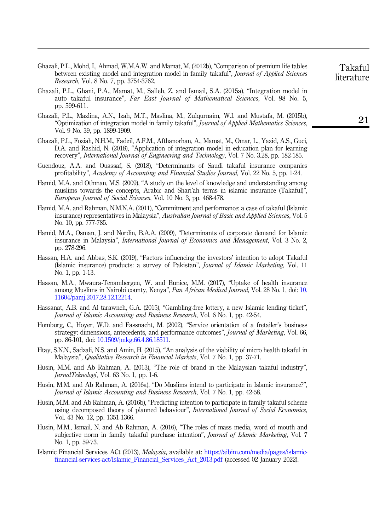- <span id="page-19-17"></span>Ghazali, P.L., Mohd, I., Ahmad, W.M.A.W. and Mamat, M. (2012b), "Comparison of premium life tables between existing model and integration model in family takaful", *Journal of Applied Sciences* Research, Vol. 8 No. 7, pp. 3754-3762.
- <span id="page-19-12"></span>Ghazali, P.L., Ghani, P.A., Mamat, M., Salleh, Z. and Ismail, S.A. (2015a), "Integration model in auto takaful insurance", Far East Journal of Mathematical Sciences, Vol. 98 No. 5, pp. 599-611.
- <span id="page-19-13"></span>Ghazali, P.L., Mazlina, A.N., Izah, M.T., Maslina, M., Zulqurnaim, W.I. and Mustafa, M. (2015b), "Optimization of integration model in family takaful", Journal of Applied Mathematics Sciences, Vol. 9 No. 39, pp. 1899-1909.
- <span id="page-19-9"></span>Ghazali, P.L., Foziah, N.H.M., Fadzil, A.F.M., Afthanorhan, A., Mamat, M., Omar, L., Yazid, A.S., Guci, D.A. and Rashid, N. (2018), "Application of integration model in education plan for learning recovery", International Journal of Engineering and Technology, Vol. 7 No. 3.28, pp. 182-185.
- <span id="page-19-16"></span>Guendouz, A.A. and Ouassaf, S. (2018), "Determinants of Saudi takaful insurance companies profitability", Academy of Accounting and Financial Studies Journal, Vol. 22 No. 5, pp. 1-24.
- <span id="page-19-5"></span>Hamid, M.A. and Othman, M.S. (2009), "A study on the level of knowledge and understanding among muslims towards the concepts, Arabic and Shari'ah terms in islamic insurance (Takaful)", European Journal of Social Sciences, Vol. 10 No. 3, pp. 468-478.
- <span id="page-19-14"></span>Hamid, M.A. and Rahman, N.M.N.A. (2011), "Commitment and performance: a case of takaful (Islamic insurance) representatives in Malaysia", Australian Journal of Basic and Applied Sciences, Vol. 5 No. 10, pp. 777-785.
- <span id="page-19-7"></span>Hamid, M.A., Osman, J. and Nordin, B.A.A. (2009), "Determinants of corporate demand for Islamic insurance in Malaysia", International Journal of Economics and Management, Vol. 3 No. 2, pp. 278-296.
- <span id="page-19-3"></span>Hassan, H.A. and Abbas, S.K. (2019), "Factors influencing the investors' intention to adopt Takaful (Islamic insurance) products: a survey of Pakistan", Journal of Islamic Marketing, Vol. 11 No. 1, pp. 1-13.
- <span id="page-19-1"></span>Hassan, M.A., Mwaura-Tenambergen, W. and Eunice, M.M. (2017), "Uptake of health insurance among Muslims in Nairobi county, Kenya", Pan African Medical Journal, Vol. 28 No. 1, doi: [10.](https://doi.org/10.11604/pamj.2017.28.12.12214) [11604/pamj.2017.28.12.12214.](https://doi.org/10.11604/pamj.2017.28.12.12214)
- <span id="page-19-10"></span>Hassanat, A.B. and Al tarawneh, G.A. (2015), "Gambling-free lottery, a new Islamic lending ticket", Journal of Islamic Accounting and Business Research, Vol. 6 No. 1, pp. 42-54.
- <span id="page-19-8"></span>Homburg, C., Hoyer, W.D. and Fassnacht, M. (2002), "Service orientation of a fretailer's business strategy: dimensions, antecedents, and performance outcomes", *Journal of Marketing*, Vol. 66, pp. 86-101, doi: [10.1509/jmkg.66.4.86.18511](https://doi.org/10.1509/jmkg.66.4.86.18511).
- <span id="page-19-11"></span>Htay, S.N.N., Sadzali, N.S. and Amin, H. (2015), "An analysis of the viability of micro health takaful in Malaysia", Qualitative Research in Financial Markets, Vol. 7 No. 1, pp. 37-71.
- <span id="page-19-0"></span>Husin, M.M. and Ab Rahman, A. (2013), "The role of brand in the Malaysian takaful industry", JurnalTeknologi, Vol. 63 No. 1, pp. 1-6.
- <span id="page-19-2"></span>Husin, M.M. and Ab Rahman, A. (2016a), "Do Muslims intend to participate in Islamic insurance?", Journal of Islamic Accounting and Business Research, Vol. 7 No. 1, pp. 42-58.
- <span id="page-19-6"></span>Husin, M.M. and Ab Rahman, A. (2016b), "Predicting intention to participate in family takaful scheme using decomposed theory of planned behaviour", *International Journal of Social Economics*, Vol. 43 No. 12, pp. 1351-1366.
- <span id="page-19-4"></span>Husin, M.M., Ismail, N. and Ab Rahman, A. (2016), "The roles of mass media, word of mouth and subjective norm in family takaful purchase intention", *Journal of Islamic Marketing*, Vol. 7 No. 1, pp. 59-73.
- <span id="page-19-15"></span>Islamic Financial Services ACt (2013), Malaysia, available at: [https://aibim.com/media/pages/islamic](https://aibim.com/media/pages/islamic-financial-services-act/Islamic_Financial_Services_Act_2013.pdf)[financial-services-act/Islamic\\_Financial\\_Services\\_Act\\_2013.pdf](https://aibim.com/media/pages/islamic-financial-services-act/Islamic_Financial_Services_Act_2013.pdf) (accessed 02 January 2022).

Takaful literature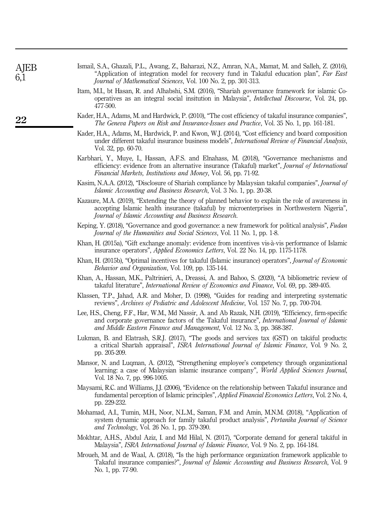<span id="page-20-18"></span><span id="page-20-16"></span><span id="page-20-15"></span><span id="page-20-13"></span><span id="page-20-11"></span><span id="page-20-10"></span><span id="page-20-8"></span><span id="page-20-6"></span><span id="page-20-3"></span>

| AJEB<br>6,1 | Ismail, S.A., Ghazali, P.L., Awang, Z., Baharazi, N.Z., Amran, N.A., Mamat, M. and Salleh, Z. (2016),<br>"Application of integration model for recovery fund in Takaful education plan", Far East<br>Journal of Mathematical Sciences, Vol. 100 No. 2, pp. 301-313.              |  |  |  |  |  |
|-------------|----------------------------------------------------------------------------------------------------------------------------------------------------------------------------------------------------------------------------------------------------------------------------------|--|--|--|--|--|
|             | Itam, M.I., bt Hasan, R. and Alhabshi, S.M. (2016), "Shariah governance framework for islamic Co-<br>operatives as an integral social insitution in Malaysia", <i>Intellectual Discourse</i> , Vol. 24, pp.<br>477-500.                                                          |  |  |  |  |  |
| 22          | Kader, H.A., Adams, M. and Hardwick, P. (2010), "The cost efficiency of takaful insurance companies",<br>The Geneva Papers on Risk and Insurance-Issues and Practice, Vol. 35 No. 1, pp. 161-181.                                                                                |  |  |  |  |  |
|             | Kader, H.A., Adams, M., Hardwick, P. and Kwon, W.J. (2014), "Cost efficiency and board composition<br>under different takaful insurance business models", International Review of Financial Analysis,<br>Vol. 32, pp. 60-70.                                                     |  |  |  |  |  |
|             | Karbhari, Y., Muye, I., Hassan, A.F.S. and Elnahass, M. (2018), "Governance mechanisms and<br>efficiency: evidence from an alternative insurance (Takaful) market", Journal of International<br><i>Financial Markets, Institutions and Money, Vol. 56, pp. 71-92.</i>            |  |  |  |  |  |
|             | Kasim, N.A.A. (2012), "Disclosure of Shariah compliance by Malaysian takaful companies", <i>Journal of</i><br><i>Islamic Accounting and Business Research</i> , Vol. 3 No. 1, pp. 20-38.                                                                                         |  |  |  |  |  |
|             | Kazaure, M.A. (2019), "Extending the theory of planned behavior to explain the role of awareness in<br>accepting Islamic health insurance (takaful) by microenterprises in Northwestern Nigeria",<br>Journal of Islamic Accounting and Business Research.                        |  |  |  |  |  |
|             | Keping, Y. (2018), "Governance and good governance: a new framework for political analysis", Fudan<br>Journal of the Humanities and Social Sciences, Vol. 11 No. 1, pp. 1-8.                                                                                                     |  |  |  |  |  |
|             | Khan, H. (2015a), "Gift exchange anomaly: evidence from incentives vis-à-vis performance of Islamic<br>insurance operators", Applied Economics Letters, Vol. 22 No. 14, pp. 1175-1178.                                                                                           |  |  |  |  |  |
|             | Khan, H. (2015b), "Optimal incentives for takaful (Islamic insurance) operators", <i>Journal of Economic</i><br><i>Behavior and Organization, Vol. 109, pp. 135-144.</i>                                                                                                         |  |  |  |  |  |
|             | Khan, A., Hassan, M.K., Paltrinieri, A., Dreassi, A. and Bahoo, S. (2020), "A bibliometric review of<br>takaful literature", <i>International Review of Economics and Finance</i> , Vol. 69, pp. 389-405.                                                                        |  |  |  |  |  |
|             | Klassen, T.P., Jahad, A.R. and Moher, D. (1998), "Guides for reading and interpreting systematic<br>reviews", Archives of Pediatric and Adolescent Medicine, Vol. 157 No. 7, pp. 700-704.                                                                                        |  |  |  |  |  |
|             | Lee, H.S., Cheng, F.F., Har, W.M., Md Nassir, A. and Ab Razak, N.H. (2019), "Efficiency, firm-specific<br>and corporate governance factors of the Takaful insurance", International Journal of Islamic<br>and Middle Eastern Finance and Management, Vol. 12 No. 3, pp. 368-387. |  |  |  |  |  |
|             | Lukman, B. and Elatrash, S.R.J. (2017), "The goods and services tax (GST) on takāful products:<br>a critical Sharīah appraisal", ISRA International Journal of Islamic Finance, Vol. 9 No. 2,<br>pp. 205-209.                                                                    |  |  |  |  |  |
|             | Mansor, N. and Luqman, A. (2012), "Strengthening employee's competency through organizational<br>learning: a case of Malaysian islamic insurance company", World Applied Sciences Journal,<br>Vol. 18 No. 7, pp. 996-1005.                                                       |  |  |  |  |  |
|             | Maysami, R.C. and Williams, J.J. (2006), "Evidence on the relationship between Takaful insurance and<br>fundamental perception of Islamic principles", Applied Financial Economics Letters, Vol. 2 No. 4,<br>pp. 229-232.                                                        |  |  |  |  |  |
|             | Mohamad, A.I., Tumin, M.H., Noor, N.L.M., Saman, F.M. and Amin, M.N.M. (2018), "Application of<br>system dynamic approach for family takaful product analysis", Pertanika Journal of Science<br>and Technology, Vol. 26 No. 1, pp. 379-390.                                      |  |  |  |  |  |

- <span id="page-20-17"></span><span id="page-20-14"></span><span id="page-20-12"></span><span id="page-20-9"></span><span id="page-20-5"></span><span id="page-20-4"></span><span id="page-20-2"></span><span id="page-20-1"></span><span id="page-20-0"></span>Mokhtar, A.H.S., Abdul Aziz, I. and Md Hilal, N. (2017), "Corporate demand for general takaful in Malaysia", ISRA International Journal of Islamic Finance, Vol. 9 No. 2, pp. 164-184.
- <span id="page-20-7"></span>Mroueh, M. and de Waal, A. (2018), "Is the high performance organization framework applicable to Takaful insurance companies?", Journal of Islamic Accounting and Business Research, Vol. 9 No. 1, pp. 77-90.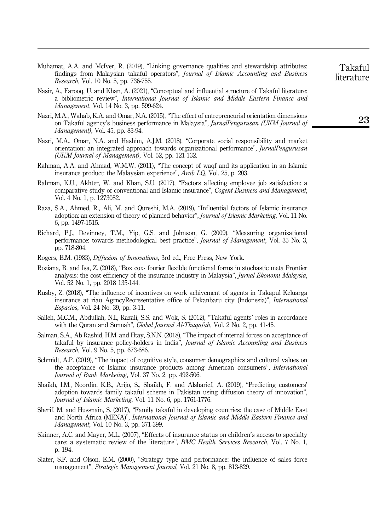- <span id="page-21-17"></span>Muhamat, A.A. and McIver, R. (2019), "Linking governance qualities and stewardship attributes: findings from Malaysian takaful operators", Journal of Islamic Accounting and Business Research, Vol. 10 No. 5, pp. 736-755.
- <span id="page-21-0"></span>Nasir, A., Farooq, U. and Khan, A. (2021), "Conceptual and influential structure of Takaful literature: a bibliometric review", International Journal of Islamic and Middle Eastern Finance and Management, Vol. 14 No. 3, pp. 599-624.
- <span id="page-21-10"></span>Nazri, M.A., Wahab, K.A. and Omar, N.A. (2015), "The effect of entrepreneurial orientation dimensions on Takaful agency's business performance in Malaysia", JurnalPengurusan (UKM Journal of Management), Vol. 45, pp. 83-94.
- <span id="page-21-12"></span>Nazri, M.A., Omar, N.A. and Hashim, A.J.M. (2018), "Corporate social responsibility and market orientation: an integrated approach towards organizational performance", *JurnalPengurusan* (UKM Journal of Management), Vol. 52, pp. 121-132.
- <span id="page-21-8"></span>Rahman, A.A. and Ahmad, W.M.W. (2011), "The concept of waqf and its application in an Islamic insurance product: the Malaysian experience", Arab LQ, Vol. 25, p. 203.
- <span id="page-21-14"></span>Rahman, K.U., Akhter, W. and Khan, S.U. (2017), "Factors affecting employee job satisfaction: a comparative study of conventional and Islamic insurance", Cogent Business and Management, Vol. 4 No. 1, p. 1273082.
- <span id="page-21-3"></span>Raza, S.A., Ahmed, R., Ali, M. and Qureshi, M.A. (2019), "Influential factors of Islamic insurance adoption: an extension of theory of planned behavior", Journal of Islamic Marketing, Vol. 11 No. 6, pp. 1497-1515.
- <span id="page-21-9"></span>Richard, P.J., Devinney, T.M., Yip, G.S. and Johnson, G. (2009), "Measuring organizational performance: towards methodological best practice", Journal of Management, Vol. 35 No. 3, pp. 718-804.
- <span id="page-21-6"></span>Rogers, E.M. (1983), Diffusion of Innovations, 3rd ed., Free Press, New York.
- <span id="page-21-11"></span>Roziana, B. and Isa, Z. (2018), "Box cox- fourier flexible functional forms in stochastic meta Frontier analysis: the cost efficiency of the insurance industry in Malaysia", Jurnal Ekonomi Malaysia, Vol. 52 No. 1, pp. 2018 135-144.
- <span id="page-21-16"></span>Rusby, Z. (2018), "The influence of incentives on work achivement of agents in Takapul Keluarga insurance at riau AgrncyReoresentative office of Pekanbaru city (Indonesia)", International Espacios, Vol. 24 No. 39, pp. 3-11.
- <span id="page-21-13"></span>Salleh, M.C.M., Abdullah, N.I., Razali, S.S. and Wok, S. (2012), "Takaful agents' roles in accordance with the Quran and Sunnah", *Global Journal Al-Thagafah*, Vol. 2 No. 2, pp. 41-45.
- <span id="page-21-5"></span>Salman, S.A., Ab Rashid, H.M. and Htay, S.N.N. (2018), "The impact of internal forces on acceptance of takaful by insurance policy-holders in India", *Journal of Islamic Accounting and Business* Research, Vol. 9 No. 5, pp. 673-686.
- <span id="page-21-2"></span>Schmidt, A.P. (2019), "The impact of cognitive style, consumer demographics and cultural values on the acceptance of Islamic insurance products among American consumers", International Journal of Bank Marketing, Vol. 37 No. 2, pp. 492-506.
- <span id="page-21-4"></span>Shaikh, I.M., Noordin, K.B., Arijo, S., Shaikh, F. and Alsharief, A. (2019), "Predicting customers' adoption towards family takaful scheme in Pakistan using diffusion theory of innovation", Journal of Islamic Marketing, Vol. 11 No. 6, pp. 1761-1776.
- <span id="page-21-7"></span>Sherif, M. and Hussnain, S. (2017), "Family takaful in developing countries: the case of Middle East and North Africa (MENA)", International Journal of Islamic and Middle Eastern Finance and Management, Vol. 10 No. 3, pp. 371-399.
- <span id="page-21-1"></span>Skinner, A.C. and Mayer, M.L. (2007), "Effects of insurance status on children's access to specialty care: a systematic review of the literature", BMC Health Services Research, Vol. 7 No. 1, p. 194.
- <span id="page-21-15"></span>Slater, S.F. and Olson, E.M. (2000), "Strategy type and performance: the influence of sales force management", Strategic Management Journal, Vol. 21 No. 8, pp. 813-829.

literature

Takaful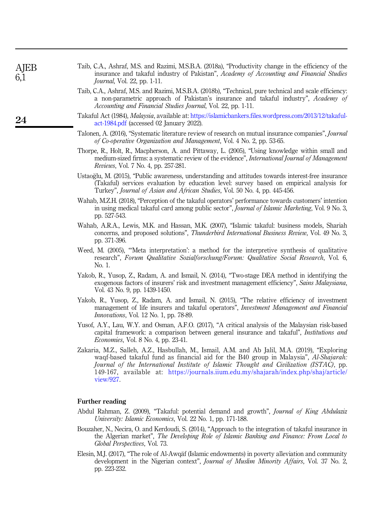<span id="page-22-8"></span>

| Taib, C.A., Ashraf, M.S. and Razimi, M.S.B.A. (2018a), "Productivity change in the efficiency of the |  |  |
|------------------------------------------------------------------------------------------------------|--|--|
| insurance and takaful industry of Pakistan", Academy of Accounting and Financial Studies             |  |  |
| <i>Journal</i> , Vol. 22, pp. 1-11.                                                                  |  |  |

- <span id="page-22-11"></span>Taib, C.A., Ashraf, M.S. and Razimi, M.S.B.A. (2018b), "Technical, pure technical and scale efficiency: a non-parametric approach of Pakistan's insurance and takaful industry", Academy of Accounting and Financial Studies Journal, Vol. 22, pp. 1-11.
- <span id="page-22-0"></span>Takaful Act (1984), Malaysia, available at: [https://islamicbankers.files.wordpress.com/2013/12/takaful](https://islamicbankers.files.wordpress.com/2013/12/takaful-act-1984.pdf)[act-1984.pdf](https://islamicbankers.files.wordpress.com/2013/12/takaful-act-1984.pdf) (accessed 02 January 2022).
- <span id="page-22-3"></span>Talonen, A. (2016), "Systematic literature review of research on mutual insurance companies", Journal of Co-operative Organization and Management, Vol. 4 No. 2, pp. 53-65.
- <span id="page-22-2"></span>Thorpe, R., Holt, R., Macpherson, A. and Pittaway, L. (2005), "Using knowledge within small and medium-sized firms: a systematic review of the evidence", International Journal of Management Reviews, Vol. 7 No. 4, pp. 257-281.
- <span id="page-22-4"></span>Ustaoglu, M. (2015), "Public awareness, understanding and attitudes towards interest-free insurance (Takaful) services evaluation by education level: survey based on empirical analysis for Turkey", Journal of Asian and African Studies, Vol. 50 No. 4, pp. 445-456.
- <span id="page-22-5"></span>Wahab, M.Z.H. (2018), "Perception of the takaful operators' performance towards customers' intention in using medical takaful card among public sector", Journal of Islamic Marketing, Vol. 9 No. 3, pp. 527-543.
- <span id="page-22-6"></span>Wahab, A.R.A., Lewis, M.K. and Hassan, M.K. (2007), "Islamic takaful: business models, Shariah concerns, and proposed solutions", Thunderbird International Business Review, Vol. 49 No. 3, pp. 371-396.
- <span id="page-22-1"></span>Weed, M. (2005), "'Meta interpretation': a method for the interpretive synthesis of qualitative research", Forum Qualitative Sozialforschung/Forum: Qualitative Social Research, Vol. 6, No. 1.
- <span id="page-22-10"></span>Yakob, R., Yusop, Z., Radam, A. and Ismail, N. (2014), "Two-stage DEA method in identifying the exogenous factors of insurers' risk and investment management efficiency", Sains Malaysiana, Vol. 43 No. 9, pp. 1439-1450.
- <span id="page-22-9"></span>Yakob, R., Yusop, Z., Radam, A. and Ismail, N. (2015), "The relative efficiency of investment management of life insurers and takaful operators", *Investment Management and Financial* Innovations, Vol. 12 No. 1, pp. 78-89.
- <span id="page-22-12"></span>Yusof, A.Y., Lau, W.Y. and Osman, A.F.O. (2017), "A critical analysis of the Malaysian risk-based capital framework: a comparison between general insurance and takaful", Institutions and Economies, Vol. 8 No. 4, pp. 23-41.
- <span id="page-22-7"></span>Zakaria, M.Z., Salleh, A.Z., Hasbullah, M., Ismail, A.M. and Ab Jalil, M.A. (2019), "Exploring waqf-based takaful fund as financial aid for the B40 group in Malaysia", Al-Shajarah: Journal of the International Institute of Islamic Thought and Civilization (ISTAC), pp. 149-167, available at: [https://journals.iium.edu.my/shajarah/index.php/shaj/article/](https://journals.iium.edu.my/shajarah/index.php/shaj/article/view/927) [view/927.](https://journals.iium.edu.my/shajarah/index.php/shaj/article/view/927)

#### Further reading

- Abdul Rahman, Z. (2009), "Takaful: potential demand and growth", Journal of King Abdulaziz University: Islamic Economics, Vol. 22 No. 1, pp. 171-188.
- Bouzaher, N., Necira, O. and Kerdoudi, S. (2014), "Approach to the integration of takaful insurance in the Algerian market", The Developing Role of Islamic Banking and Finance: From Local to Global Perspectives, Vol. 73.
- Elesin, M.J. (2017), "The role of Al-Awqaf (Islamic endowments) in poverty alleviation and community development in the Nigerian context", *Journal of Muslim Minority Affairs*, Vol. 37 No. 2, pp. 223-232.

**AIEB** 6,1